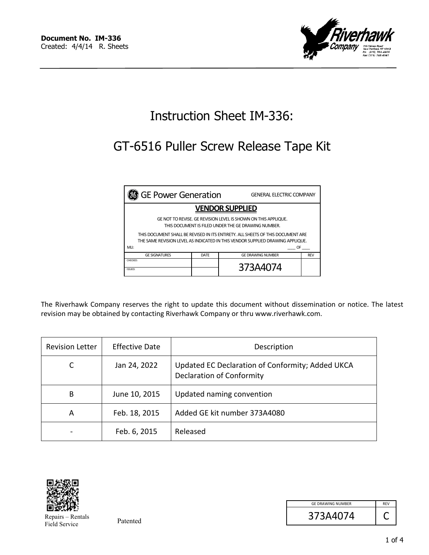

# Instruction Sheet IM-336:

# GT-6516 Puller Screw Release Tape Kit

| <b>GE Power Generation</b>                                                                                                                                                                                                                                                                                      |             | <b>GENERAL ELECTRIC COMPANY</b> |            |
|-----------------------------------------------------------------------------------------------------------------------------------------------------------------------------------------------------------------------------------------------------------------------------------------------------------------|-------------|---------------------------------|------------|
| <b>VENDOR SUPPLIED</b>                                                                                                                                                                                                                                                                                          |             |                                 |            |
| GE NOT TO REVISE. GE REVISION LEVEL IS SHOWN ON THIS APPLIQUE.<br>THIS DOCUMENT IS FILED UNDER THE GE DRAWING NUMBER.<br>THIS DOCUMENT SHALL BE REVISED IN ITS ENTIRETY. ALL SHEETS OF THIS DOCUMENT ARE<br>THE SAME REVISION LEVEL AS INDICATED IN THIS VENDOR SUPPLIED DRAWING APPLIQUE.<br>MLI:<br><b>OF</b> |             |                                 |            |
| <b>GE SIGNATURES</b>                                                                                                                                                                                                                                                                                            | <b>DATE</b> | <b>GE DRAWING NUMBER</b>        | <b>REV</b> |
| CHECKED:<br><b>ISSUED:</b>                                                                                                                                                                                                                                                                                      |             | 373A4074                        |            |

The Riverhawk Company reserves the right to update this document without dissemination or notice. The latest revision may be obtained by contacting Riverhawk Company or thru www.riverhawk.com.

| <b>Revision Letter</b> | <b>Effective Date</b> | Description                                                                   |
|------------------------|-----------------------|-------------------------------------------------------------------------------|
|                        | Jan 24, 2022          | Updated EC Declaration of Conformity; Added UKCA<br>Declaration of Conformity |
| B                      | June 10, 2015         | Updated naming convention                                                     |
| A                      | Feb. 18, 2015         | Added GE kit number 373A4080                                                  |
|                        | Feb. 6, 2015          | Released                                                                      |



Repairs – Rentals Field Service

| <b>GE DRAWING NUMBER</b> | <b>RFV</b> |
|--------------------------|------------|
| 373A4074                 |            |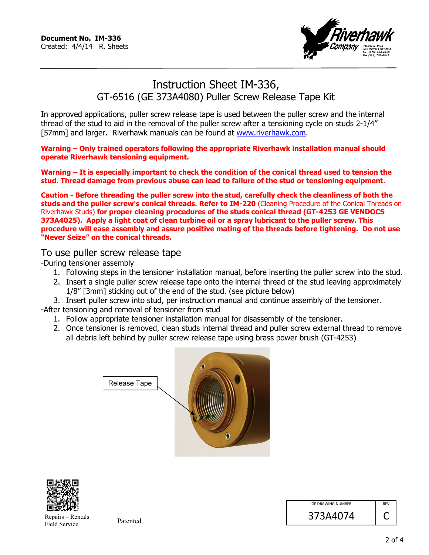

## Instruction Sheet IM-336, GT-6516 (GE 373A4080) Puller Screw Release Tape Kit

In approved applications, puller screw release tape is used between the puller screw and the internal thread of the stud to aid in the removal of the puller screw after a tensioning cycle on studs 2-1/4" [57mm] and larger. Riverhawk manuals can be found at www.riverhawk.com.

**Warning – Only trained operators following the appropriate Riverhawk installation manual should operate Riverhawk tensioning equipment.** 

**Warning – It is especially important to check the condition of the conical thread used to tension the stud. Thread damage from previous abuse can lead to failure of the stud or tensioning equipment.** 

**Caution - Before threading the puller screw into the stud, carefully check the cleanliness of both the studs and the puller screw's conical threads. Refer to IM-220** (Cleaning Procedure of the Conical Threads on Riverhawk Studs) **for proper cleaning procedures of the studs conical thread (GT-4253 GE VENDOCS 373A4025). Apply a light coat of clean turbine oil or a spray lubricant to the puller screw. This procedure will ease assembly and assure positive mating of the threads before tightening. Do not use "Never Seize" on the conical threads.** 

#### To use puller screw release tape

-During tensioner assembly

- 1. Following steps in the tensioner installation manual, before inserting the puller screw into the stud.
- 2. Insert a single puller screw release tape onto the internal thread of the stud leaving approximately 1/8" [3mm] sticking out of the end of the stud. (see picture below)
- 3. Insert puller screw into stud, per instruction manual and continue assembly of the tensioner.

-After tensioning and removal of tensioner from stud

- 1. Follow appropriate tensioner installation manual for disassembly of the tensioner.
- 2. Once tensioner is removed, clean studs internal thread and puller screw external thread to remove all debris left behind by puller screw release tape using brass power brush (GT-4253)





Repairs – Rentals Field Service

| <b>GE DRAWING NUMBER</b> | <b>RFV</b> |
|--------------------------|------------|
| 373A4074                 |            |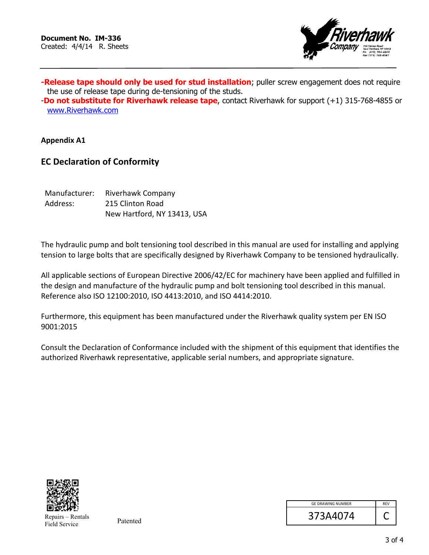

**-Release tape should only be used for stud installation**; puller screw engagement does not require the use of release tape during de-tensioning of the studs.

-**Do not substitute for Riverhawk release tape**, contact Riverhawk for support (+1) 315-768-4855 or www.Riverhawk.com

**Appendix A1** 

### **EC Declaration of Conformity**

| Manufacturer: | Riverhawk Company           |
|---------------|-----------------------------|
| Address:      | 215 Clinton Road            |
|               | New Hartford, NY 13413, USA |

The hydraulic pump and bolt tensioning tool described in this manual are used for installing and applying tension to large bolts that are specifically designed by Riverhawk Company to be tensioned hydraulically.

All applicable sections of European Directive 2006/42/EC for machinery have been applied and fulfilled in the design and manufacture of the hydraulic pump and bolt tensioning tool described in this manual. Reference also ISO 12100:2010, ISO 4413:2010, and ISO 4414:2010.

Furthermore, this equipment has been manufactured under the Riverhawk quality system per EN ISO 9001:2015

Consult the Declaration of Conformance included with the shipment of this equipment that identifies the authorized Riverhawk representative, applicable serial numbers, and appropriate signature.



Repairs – Rentals Field Service

| <b>GE DRAWING NUMBER</b> | <b>RFV</b> |
|--------------------------|------------|
| 373A4074                 |            |